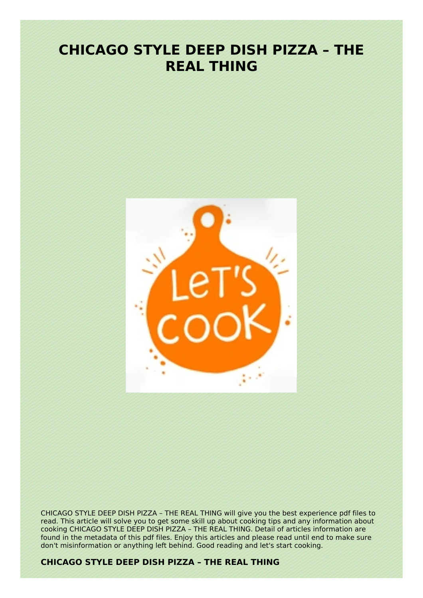# **CHICAGO STYLE DEEP DISH PIZZA – THE REAL THING**



CHICAGO STYLE DEEP DISH PIZZA – THE REAL THING will give you the best experience pdf files to read. This article will solve you to get some skill up about cooking tips and any information about cooking CHICAGO STYLE DEEP DISH PIZZA - THE REAL THING. Detail of articles information are found in the metadata of this pdf files. Enjoy this articles and please read until end to make sure don't misinformation or anything left behind. Good reading and let's start cooking.

### **CHICAGO STYLE DEEP DISH PIZZA – THE REAL THING**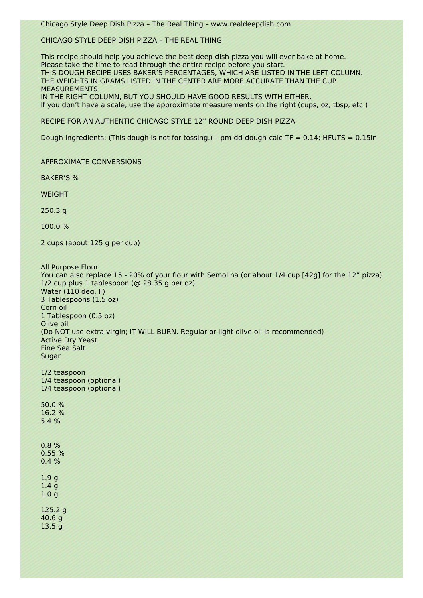Chicago Style Deep Dish Pizza – The Real Thing – www.realdeepdish.com

#### CHICAGO STYLE DEEP DISH PIZZA – THE REAL THING

This recipe should help you achieve the best deep-dish pizza you will ever bake at home. Please take the time to read through the entire recipe before you start. THIS DOUGH RECIPE USES BAKER'S PERCENTAGES, WHICH ARE LISTED IN THE LEFT COLUMN. THE WEIGHTS IN GRAMS LISTED IN THE CENTER ARE MORE ACCURATE THAN THE CUP MEASUREMENTS IN THE RIGHT COLUMN, BUT YOU SHOULD HAVE GOOD RESULTS WITH EITHER. If you don't have a scale, use the approximate measurements on the right (cups, oz, tbsp, etc.)

RECIPE FOR AN AUTHENTIC CHICAGO STYLE 12" ROUND DEEP DISH PIZZA

Dough Ingredients: (This dough is not for tossing.) – pm-dd-dough-calc-TF =  $0.14$ ; HFUTS =  $0.15$ in

#### APPROXIMATE CONVERSIONS

BAKER'S %

WEIGHT

250.3 g

100.0 %

2 cups (about 125 g per cup)

All Purpose Flour You can also replace 15 - 20% of your flour with Semolina (or about 1/4 cup [42g] for the 12" pizza) 1/2 cup plus 1 tablespoon (@ 28.35 g per oz) Water (110 deg. F) 3 Tablespoons (1.5 oz) Corn oil 1 Tablespoon (0.5 oz) Olive oil (Do NOT use extra virgin; IT WILL BURN. Regular or light olive oil is recommended) Active Dry Yeast Fine Sea Salt Sugar 1/2 teaspoon 1/4 teaspoon (optional) 1/4 teaspoon (optional) 50.0 % 16.2 % 5.4 % 0.8 % 0.55 % 0.4 % 1.9 g 1.4 g 1.0 g

125.2 g 40.6 g 13.5 g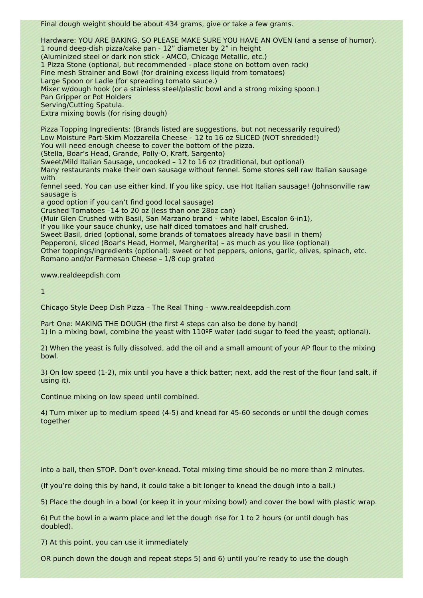Final dough weight should be about 434 grams, give or take a few grams.

Hardware: YOU ARE BAKING, SO PLEASE MAKE SURE YOU HAVE AN OVEN (and a sense of humor). 1 round deep-dish pizza/cake pan - 12" diameter by 2" in height (Aluminized steel or dark non stick - AMCO, Chicago Metallic, etc.) 1 Pizza Stone (optional, but recommended - place stone on bottom oven rack) Fine mesh Strainer and Bowl (for draining excess liquid from tomatoes) Large Spoon or Ladle (for spreading tomato sauce.) Mixer w/dough hook (or a stainless steel/plastic bowl and a strong mixing spoon.) Pan Gripper or Pot Holders Serving/Cutting Spatula. Extra mixing bowls (for rising dough)

Pizza Topping Ingredients: (Brands listed are suggestions, but not necessarily required) Low Moisture Part-Skim Mozzarella Cheese – 12 to 16 oz SLICED (NOT shredded!) You will need enough cheese to cover the bottom of the pizza.

(Stella, Boar's Head, Grande, Polly-O, Kraft, Sargento)

Sweet/Mild Italian Sausage, uncooked – 12 to 16 oz (traditional, but optional)

Many restaurants make their own sausage without fennel. Some stores sell raw Italian sausage with<sup>:</sup>

fennel seed. You can use either kind. If you like spicy, use Hot Italian sausage! (Johnsonville raw sausage is

a good option if you can't find good local sausage)

Crushed Tomatoes –14 to 20 oz (less than one 28oz can)

(Muir Glen Crushed with Basil, San Marzano brand – white label, Escalon 6-in1),

If you like your sauce chunky, use half diced tomatoes and half crushed.

Sweet Basil, dried (optional, some brands of tomatoes already have basil in them)

Pepperoni, sliced (Boar's Head, Hormel, Margherita) – as much as you like (optional)

Other toppings/ingredients (optional): sweet or hot peppers, onions, garlic, olives, spinach, etc. Romano and/or Parmesan Cheese – 1/8 cup grated

www.realdeepdish.com

1

Chicago Style Deep Dish Pizza – The Real Thing – www.realdeepdish.com

Part One: MAKING THE DOUGH (the first 4 steps can also be done by hand) 1) In a mixing bowl, combine the yeast with 110ºF water (add sugar to feed the yeast; optional).

2) When the yeast is fully dissolved, add the oil and a small amount of your AP flour to the mixing bowl.

3) On low speed (1-2), mix until you have a thick batter; next, add the rest of the flour (and salt, if using it).

Continue mixing on low speed until combined.

4) Turn mixer up to medium speed (4-5) and knead for 45-60 seconds or until the dough comes together

into a ball, then STOP. Don't over-knead. Total mixing time should be no more than 2 minutes.

(If you're doing this by hand, it could take a bit longer to knead the dough into a ball.)

5) Place the dough in a bowl (or keep it in your mixing bowl) and cover the bowl with plastic wrap.

6) Put the bowl in a warm place and let the dough rise for 1 to 2 hours (or until dough has doubled).

7) At this point, you can use it immediately

OR punch down the dough and repeat steps 5) and 6) until you're ready to use the dough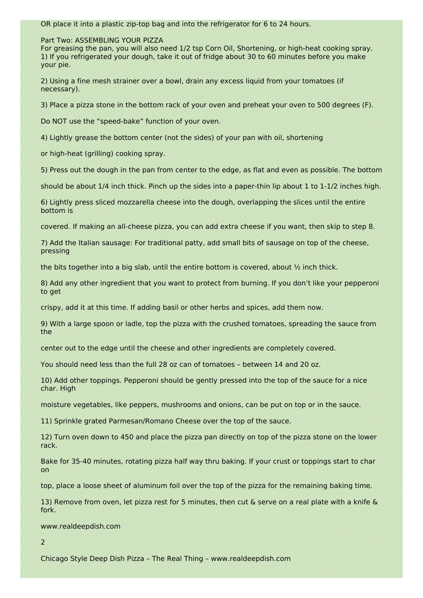OR place it into a plastic zip-top bag and into the refrigerator for 6 to 24 hours.

Part Two: ASSEMBLING YOUR PIZZA

For greasing the pan, you will also need 1/2 tsp Corn Oil, Shortening, or high-heat cooking spray. 1) If you refrigerated your dough, take it out of fridge about 30 to 60 minutes before you make your pie.

2) Using a fine mesh strainer over a bowl, drain any excess liquid from your tomatoes (if necessary).

3) Place a pizza stone in the bottom rack of your oven and preheat your oven to 500 degrees (F).

Do NOT use the "speed-bake" function of your oven.

4) Lightly grease the bottom center (not the sides) of your pan with oil, shortening

or high-heat (grilling) cooking spray.

5) Press out the dough in the pan from center to the edge, as flat and even as possible. The bottom

should be about 1/4 inch thick. Pinch up the sides into a paper-thin lip about 1 to 1-1/2 inches high.

6) Lightly press sliced mozzarella cheese into the dough, overlapping the slices until the entire bottom is

covered. If making an all-cheese pizza, you can add extra cheese if you want, then skip to step 8.

7) Add the Italian sausage: For traditional patty, add small bits of sausage on top of the cheese, pressing

the bits together into a big slab, until the entire bottom is covered, about  $\frac{1}{2}$  inch thick.

8) Add any other ingredient that you want to protect from burning. If you don't like your pepperoni to get

crispy, add it at this time. If adding basil or other herbs and spices, add them now.

9) With a large spoon or ladle, top the pizza with the crushed tomatoes, spreading the sauce from the

center out to the edge until the cheese and other ingredients are completely covered.

You should need less than the full 28 oz can of tomatoes – between 14 and 20 oz.

10) Add other toppings. Pepperoni should be gently pressed into the top of the sauce for a nice char. High

moisture vegetables, like peppers, mushrooms and onions, can be put on top or in the sauce.

11) Sprinkle grated Parmesan/Romano Cheese over the top of the sauce.

12) Turn oven down to 450 and place the pizza pan directly on top of the pizza stone on the lower rack.

Bake for 35-40 minutes, rotating pizza half way thru baking. If your crust or toppings start to char on

top, place a loose sheet of aluminum foil over the top of the pizza for the remaining baking time.

13) Remove from oven, let pizza rest for 5 minutes, then cut & serve on a real plate with a knife & fork.

www.realdeepdish.com

2

Chicago Style Deep Dish Pizza – The Real Thing – www.realdeepdish.com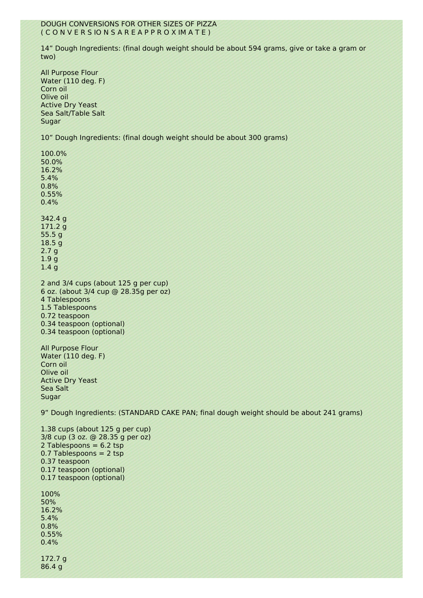#### DOUGH CONVERSIONS FOR OTHER SIZES OF PIZZA ( C O N V E R S IO N S A R E A P P R O X IM A T E )

14" Dough Ingredients: (final dough weight should be about 594 grams, give or take a gram or two)

All Purpose Flour Water (110 deg. F) Corn oil Olive oil Active Dry Yeast Sea Salt/Table Salt Sugar

10" Dough Ingredients: (final dough weight should be about 300 grams)

100.0% 50.0% 16.2% 5.4% 0.8% 0.55% 0.4% 342.4 g 171.2 g 55.5 g 18.5 g 2.7 g 1.9 g 1.4 g

2 and 3/4 cups (about 125 g per cup) 6 oz. (about 3/4 cup @ 28.35g per oz) 4 Tablespoons 1.5 Tablespoons 0.72 teaspoon 0.34 teaspoon (optional) 0.34 teaspoon (optional)

All Purpose Flour Water (110 deg. F) Corn oil Olive oil Active Dry Yeast Sea Salt Sugar

9" Dough Ingredients: (STANDARD CAKE PAN; final dough weight should be about 241 grams)

1.38 cups (about 125 g per cup) 3/8 cup (3 oz. @ 28.35 g per oz) 2 Tablespoons  $= 6.2$  tsp 0.7 Tablespoons = 2 tsp 0.37 teaspoon 0.17 teaspoon (optional) 0.17 teaspoon (optional) 100% 50% 16.2% 5.4% 0.8% 0.55%  $0.4%$ 

172.7 g 86.4 g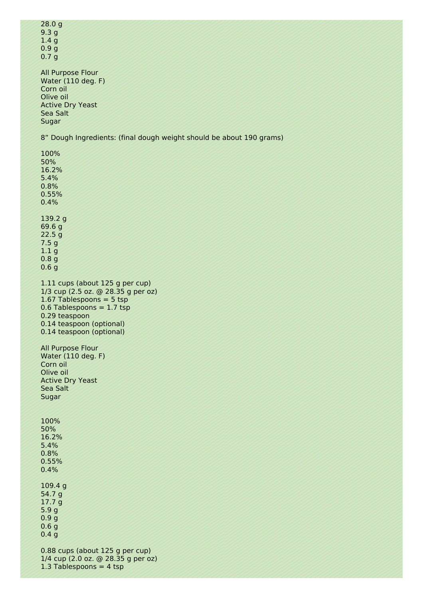| 28.0 <sub>g</sub> |  |
|-------------------|--|
| 9.3 <sub>g</sub>  |  |
| 1.4 <sub>g</sub>  |  |
| 0.9 <sub>g</sub>  |  |
| 0.7 <sub>q</sub>  |  |

All Purpose Flour Water (110 deg. F) Corn oil Olive oil Active Dry Yeast Sea Salt Sugar

8" Dough Ingredients: (final dough weight should be about 190 grams)

100% 50% 16.2% 5.4% 0.8% 0.55% 0.4% 139.2 g 69.6 g 22.5 g 7.5 g 1.1 g 0.8 g 0.6 g 1.11 cups (about 125 g per cup) 1/3 cup (2.5 oz. @ 28.35 g per oz) 1.67 Tablespoons = 5 tsp  $0.6$  Tablespoons = 1.7 tsp 0.29 teaspoon 0.14 teaspoon (optional) 0.14 teaspoon (optional) All Purpose Flour Water (110 deg. F) Corn oil Olive oil Active Dry Yeast Sea Salt Sugar 100% 50% 16.2% 5.4% 0.8% 0.55% 0.4% 109.4 g 54.7 g 17.7 g 5.9 g 0.9 g 0.6 g 0.4 g 0.88 cups (about 125 g per cup)

1/4 cup (2.0 oz. @ 28.35 g per oz) 1.3 Tablespoons  $= 4$  tsp